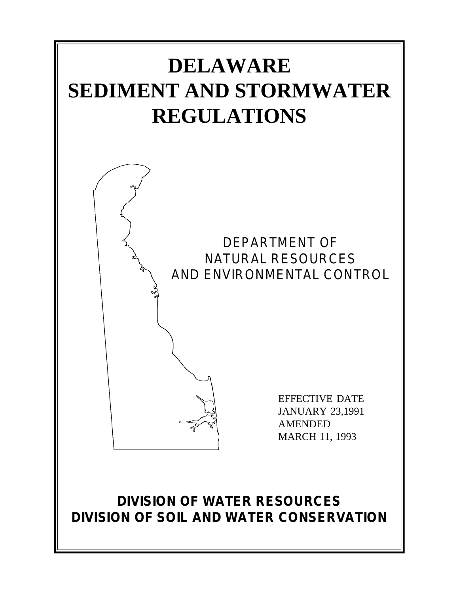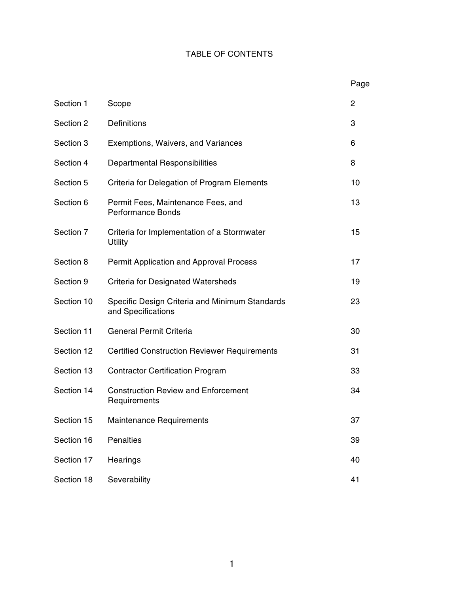## TABLE OF CONTENTS

|            |                                                                      | Page           |
|------------|----------------------------------------------------------------------|----------------|
| Section 1  | Scope                                                                | $\overline{2}$ |
| Section 2  | <b>Definitions</b>                                                   | 3              |
| Section 3  | Exemptions, Waivers, and Variances                                   | 6              |
| Section 4  | <b>Departmental Responsibilities</b>                                 | 8              |
| Section 5  | Criteria for Delegation of Program Elements                          | 10             |
| Section 6  | Permit Fees, Maintenance Fees, and<br><b>Performance Bonds</b>       | 13             |
| Section 7  | Criteria for Implementation of a Stormwater<br><b>Utility</b>        | 15             |
| Section 8  | <b>Permit Application and Approval Process</b>                       | 17             |
| Section 9  | Criteria for Designated Watersheds                                   | 19             |
| Section 10 | Specific Design Criteria and Minimum Standards<br>and Specifications | 23             |
| Section 11 | <b>General Permit Criteria</b>                                       | 30             |
| Section 12 | <b>Certified Construction Reviewer Requirements</b>                  | 31             |
| Section 13 | <b>Contractor Certification Program</b>                              | 33             |
| Section 14 | <b>Construction Review and Enforcement</b><br>Requirements           | 34             |
| Section 15 | <b>Maintenance Requirements</b>                                      | 37             |
| Section 16 | <b>Penalties</b>                                                     | 39             |
| Section 17 | Hearings                                                             | 40             |
| Section 18 | Severability                                                         | 41             |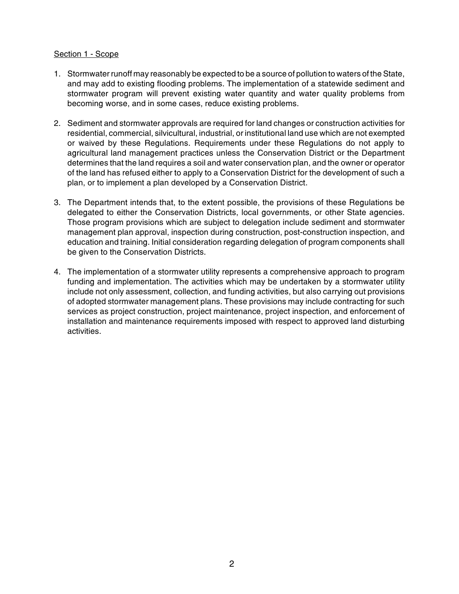#### Section 1 - Scope

- 1. Stormwater runoff may reasonably be expected to be a source of pollution to waters of the State, and may add to existing flooding problems. The implementation of a statewide sediment and stormwater program will prevent existing water quantity and water quality problems from becoming worse, and in some cases, reduce existing problems.
- 2. Sediment and stormwater approvals are required for land changes or construction activities for residential, commercial, silvicultural, industrial, or institutional land use which are not exempted or waived by these Regulations. Requirements under these Regulations do not apply to agricultural land management practices unless the Conservation District or the Department determines that the land requires a soil and water conservation plan, and the owner or operator of the land has refused either to apply to a Conservation District for the development of such a plan, or to implement a plan developed by a Conservation District.
- 3. The Department intends that, to the extent possible, the provisions of these Regulations be delegated to either the Conservation Districts, local governments, or other State agencies. Those program provisions which are subject to delegation include sediment and stormwater management plan approval, inspection during construction, post-construction inspection, and education and training. Initial consideration regarding delegation of program components shall be given to the Conservation Districts.
- 4. The implementation of a stormwater utility represents a comprehensive approach to program funding and implementation. The activities which may be undertaken by a stormwater utility include not only assessment, collection, and funding activities, but also carrying out provisions of adopted stormwater management plans. These provisions may include contracting for such services as project construction, project maintenance, project inspection, and enforcement of installation and maintenance requirements imposed with respect to approved land disturbing activities.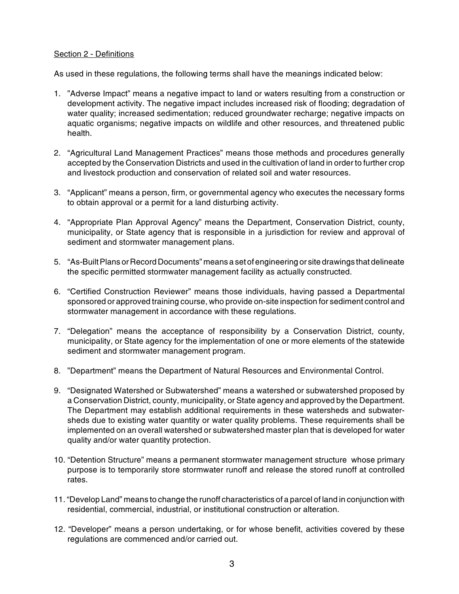#### Section 2 - Definitions

As used in these regulations, the following terms shall have the meanings indicated below:

- 1. "Adverse Impact" means a negative impact to land or waters resulting from a construction or development activity. The negative impact includes increased risk of flooding; degradation of water quality; increased sedimentation; reduced groundwater recharge; negative impacts on aquatic organisms; negative impacts on wildlife and other resources, and threatened public health.
- 2. "Agricultural Land Management Practices" means those methods and procedures generally accepted by the Conservation Districts and used in the cultivation of land in order to further crop and livestock production and conservation of related soil and water resources.
- 3. "Applicant" means a person, firm, or governmental agency who executes the necessary forms to obtain approval or a permit for a land disturbing activity.
- 4. "Appropriate Plan Approval Agency" means the Department, Conservation District, county, municipality, or State agency that is responsible in a jurisdiction for review and approval of sediment and stormwater management plans.
- 5. "As-Built Plans or Record Documents" means a set of engineering or site drawings that delineate the specific permitted stormwater management facility as actually constructed.
- 6. "Certified Construction Reviewer" means those individuals, having passed a Departmental sponsored or approved training course, who provide on-site inspection for sediment control and stormwater management in accordance with these regulations.
- 7. "Delegation" means the acceptance of responsibility by a Conservation District, county, municipality, or State agency for the implementation of one or more elements of the statewide sediment and stormwater management program.
- 8. "Department" means the Department of Natural Resources and Environmental Control.
- 9. "Designated Watershed or Subwatershed" means a watershed or subwatershed proposed by a Conservation District, county, municipality, or State agency and approved by the Department. The Department may establish additional requirements in these watersheds and subwatersheds due to existing water quantity or water quality problems. These requirements shall be implemented on an overall watershed or subwatershed master plan that is developed for water quality and/or water quantity protection.
- 10. "Detention Structure" means a permanent stormwater management structure whose primary purpose is to temporarily store stormwater runoff and release the stored runoff at controlled rates.
- 11. "Develop Land" means to change the runoff characteristics of a parcel of land in conjunction with residential, commercial, industrial, or institutional construction or alteration.
- 12. "Developer" means a person undertaking, or for whose benefit, activities covered by these regulations are commenced and/or carried out.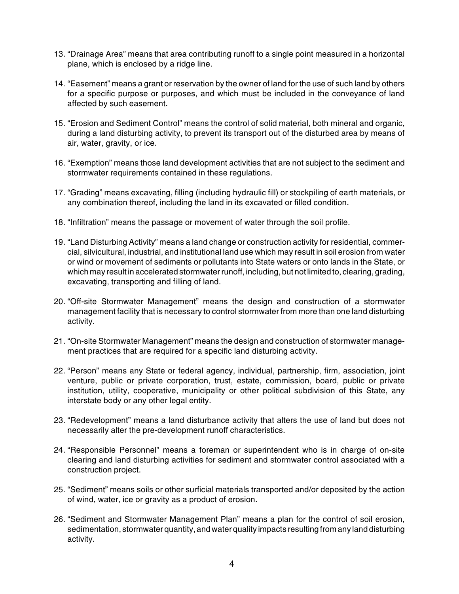- 13. "Drainage Area" means that area contributing runoff to a single point measured in a horizontal plane, which is enclosed by a ridge line.
- 14. "Easement" means a grant or reservation by the owner of land for the use of such land by others for a specific purpose or purposes, and which must be included in the conveyance of land affected by such easement.
- 15. "Erosion and Sediment Control" means the control of solid material, both mineral and organic, during a land disturbing activity, to prevent its transport out of the disturbed area by means of air, water, gravity, or ice.
- 16. "Exemption" means those land development activities that are not subject to the sediment and stormwater requirements contained in these regulations.
- 17. "Grading" means excavating, filling (including hydraulic fill) or stockpiling of earth materials, or any combination thereof, including the land in its excavated or filled condition.
- 18. "Infiltration" means the passage or movement of water through the soil profile.
- 19. "Land Disturbing Activity" means a land change or construction activity for residential, commercial, silvicultural, industrial, and institutional land use which may result in soil erosion from water or wind or movement of sediments or pollutants into State waters or onto lands in the State, or which may result in accelerated stormwater runoff, including, but not limited to, clearing, grading, excavating, transporting and filling of land.
- 20. "Off-site Stormwater Management" means the design and construction of a stormwater management facility that is necessary to control stormwater from more than one land disturbing activity.
- 21. "On-site Stormwater Management" means the design and construction of stormwater management practices that are required for a specific land disturbing activity.
- 22. "Person" means any State or federal agency, individual, partnership, firm, association, joint venture, public or private corporation, trust, estate, commission, board, public or private institution, utility, cooperative, municipality or other political subdivision of this State, any interstate body or any other legal entity.
- 23. "Redevelopment" means a land disturbance activity that alters the use of land but does not necessarily alter the pre-development runoff characteristics.
- 24. "Responsible Personnel" means a foreman or superintendent who is in charge of on-site clearing and land disturbing activities for sediment and stormwater control associated with a construction project.
- 25. "Sediment" means soils or other surficial materials transported and/or deposited by the action of wind, water, ice or gravity as a product of erosion.
- 26. "Sediment and Stormwater Management Plan" means a plan for the control of soil erosion, sedimentation, stormwater quantity, and water quality impacts resulting from any land disturbing activity.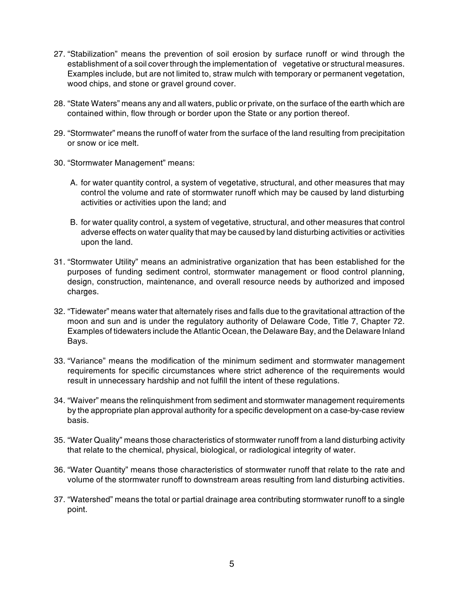- 27. "Stabilization" means the prevention of soil erosion by surface runoff or wind through the establishment of a soil cover through the implementation of vegetative or structural measures. Examples include, but are not limited to, straw mulch with temporary or permanent vegetation, wood chips, and stone or gravel ground cover.
- 28. "State Waters" means any and all waters, public or private, on the surface of the earth which are contained within, flow through or border upon the State or any portion thereof.
- 29. "Stormwater" means the runoff of water from the surface of the land resulting from precipitation or snow or ice melt.
- 30. "Stormwater Management" means:
	- A. for water quantity control, a system of vegetative, structural, and other measures that may control the volume and rate of stormwater runoff which may be caused by land disturbing activities or activities upon the land; and
	- B. for water quality control, a system of vegetative, structural, and other measures that control adverse effects on water quality that may be caused by land disturbing activities or activities upon the land.
- 31. "Stormwater Utility" means an administrative organization that has been established for the purposes of funding sediment control, stormwater management or flood control planning, design, construction, maintenance, and overall resource needs by authorized and imposed charges.
- 32. "Tidewater" means water that alternately rises and falls due to the gravitational attraction of the moon and sun and is under the regulatory authority of Delaware Code, Title 7, Chapter 72. Examples of tidewaters include the Atlantic Ocean, the Delaware Bay, and the Delaware Inland Bays.
- 33. "Variance" means the modification of the minimum sediment and stormwater management requirements for specific circumstances where strict adherence of the requirements would result in unnecessary hardship and not fulfill the intent of these regulations.
- 34. "Waiver" means the relinquishment from sediment and stormwater management requirements by the appropriate plan approval authority for a specific development on a case-by-case review basis.
- 35. "Water Quality" means those characteristics of stormwater runoff from a land disturbing activity that relate to the chemical, physical, biological, or radiological integrity of water.
- 36. "Water Quantity" means those characteristics of stormwater runoff that relate to the rate and volume of the stormwater runoff to downstream areas resulting from land disturbing activities.
- 37. "Watershed" means the total or partial drainage area contributing stormwater runoff to a single point.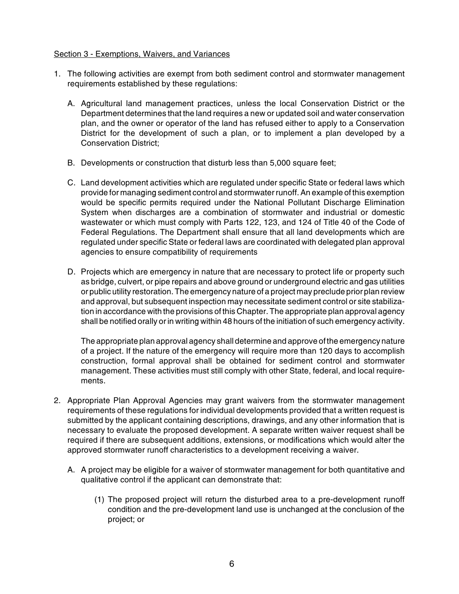#### Section 3 - Exemptions, Waivers, and Variances

- 1. The following activities are exempt from both sediment control and stormwater management requirements established by these regulations:
	- A. Agricultural land management practices, unless the local Conservation District or the Department determines that the land requires a new or updated soil and water conservation plan, and the owner or operator of the land has refused either to apply to a Conservation District for the development of such a plan, or to implement a plan developed by a Conservation District;
	- B. Developments or construction that disturb less than 5,000 square feet;
	- C. Land development activities which are regulated under specific State or federal laws which provide for managing sediment control and stormwater runoff. An example of this exemption would be specific permits required under the National Pollutant Discharge Elimination System when discharges are a combination of stormwater and industrial or domestic wastewater or which must comply with Parts 122, 123, and 124 of Title 40 of the Code of Federal Regulations. The Department shall ensure that all land developments which are regulated under specific State or federal laws are coordinated with delegated plan approval agencies to ensure compatibility of requirements
	- D. Projects which are emergency in nature that are necessary to protect life or property such as bridge, culvert, or pipe repairs and above ground or underground electric and gas utilities or public utility restoration. The emergency nature of a project may preclude prior plan review and approval, but subsequent inspection may necessitate sediment control or site stabilization in accordance with the provisions of this Chapter. The appropriate plan approval agency shall be notified orally or in writing within 48 hours of the initiation of such emergency activity.

The appropriate plan approval agency shall determine and approve of the emergency nature of a project. If the nature of the emergency will require more than 120 days to accomplish construction, formal approval shall be obtained for sediment control and stormwater management. These activities must still comply with other State, federal, and local requirements.

- 2. Appropriate Plan Approval Agencies may grant waivers from the stormwater management requirements of these regulations for individual developments provided that a written request is submitted by the applicant containing descriptions, drawings, and any other information that is necessary to evaluate the proposed development. A separate written waiver request shall be required if there are subsequent additions, extensions, or modifications which would alter the approved stormwater runoff characteristics to a development receiving a waiver.
	- A. A project may be eligible for a waiver of stormwater management for both quantitative and qualitative control if the applicant can demonstrate that:
		- (1) The proposed project will return the disturbed area to a pre-development runoff condition and the pre-development land use is unchanged at the conclusion of the project; or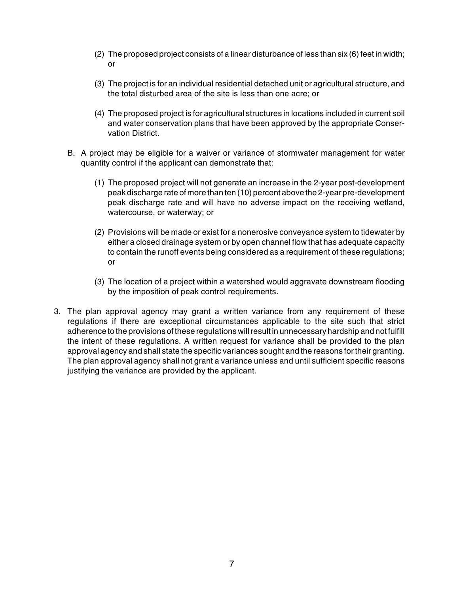- (2) The proposed project consists of a linear disturbance of less than six (6) feet in width; or
- (3) The project is for an individual residential detached unit or agricultural structure, and the total disturbed area of the site is less than one acre; or
- (4) The proposed project is for agricultural structures in locations included in current soil and water conservation plans that have been approved by the appropriate Conservation District.
- B. A project may be eligible for a waiver or variance of stormwater management for water quantity control if the applicant can demonstrate that:
	- (1) The proposed project will not generate an increase in the 2-year post-development peak discharge rate of more than ten (10) percent above the 2-year pre-development peak discharge rate and will have no adverse impact on the receiving wetland, watercourse, or waterway; or
	- (2) Provisions will be made or exist for a nonerosive conveyance system to tidewater by either a closed drainage system or by open channel flow that has adequate capacity to contain the runoff events being considered as a requirement of these regulations; or
	- (3) The location of a project within a watershed would aggravate downstream flooding by the imposition of peak control requirements.
- 3. The plan approval agency may grant a written variance from any requirement of these regulations if there are exceptional circumstances applicable to the site such that strict adherence to the provisions of these regulations will result in unnecessary hardship and not fulfill the intent of these regulations. A written request for variance shall be provided to the plan approval agency and shall state the specific variances sought and the reasons for their granting. The plan approval agency shall not grant a variance unless and until sufficient specific reasons justifying the variance are provided by the applicant.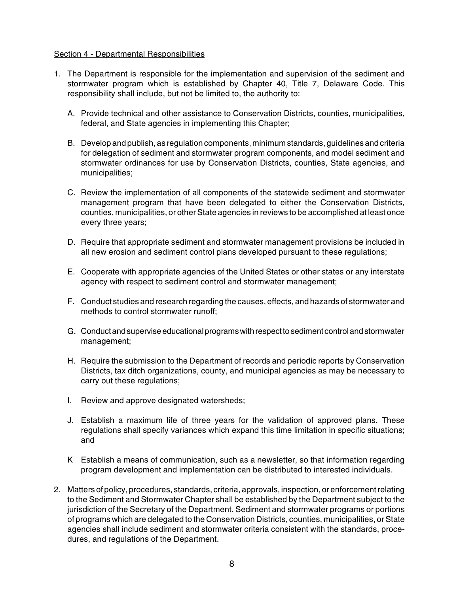#### Section 4 - Departmental Responsibilities

- 1. The Department is responsible for the implementation and supervision of the sediment and stormwater program which is established by Chapter 40, Title 7, Delaware Code. This responsibility shall include, but not be limited to, the authority to:
	- A. Provide technical and other assistance to Conservation Districts, counties, municipalities, federal, and State agencies in implementing this Chapter;
	- B. Develop and publish, as regulation components, minimum standards, guidelines and criteria for delegation of sediment and stormwater program components, and model sediment and stormwater ordinances for use by Conservation Districts, counties, State agencies, and municipalities;
	- C. Review the implementation of all components of the statewide sediment and stormwater management program that have been delegated to either the Conservation Districts, counties, municipalities, or other State agencies in reviews to be accomplished at least once every three years;
	- D. Require that appropriate sediment and stormwater management provisions be included in all new erosion and sediment control plans developed pursuant to these regulations;
	- E. Cooperate with appropriate agencies of the United States or other states or any interstate agency with respect to sediment control and stormwater management;
	- F. Conduct studies and research regarding the causes, effects, and hazards of stormwater and methods to control stormwater runoff;
	- G. Conduct and supervise educational programs with respect to sediment control and stormwater management;
	- H. Require the submission to the Department of records and periodic reports by Conservation Districts, tax ditch organizations, county, and municipal agencies as may be necessary to carry out these regulations;
	- I. Review and approve designated watersheds;
	- J. Establish a maximum life of three years for the validation of approved plans. These regulations shall specify variances which expand this time limitation in specific situations; and
	- K Establish a means of communication, such as a newsletter, so that information regarding program development and implementation can be distributed to interested individuals.
- 2. Matters of policy, procedures, standards, criteria, approvals, inspection, or enforcement relating to the Sediment and Stormwater Chapter shall be established by the Department subject to the jurisdiction of the Secretary of the Department. Sediment and stormwater programs or portions of programs which are delegated to the Conservation Districts, counties, municipalities, or State agencies shall include sediment and stormwater criteria consistent with the standards, procedures, and regulations of the Department.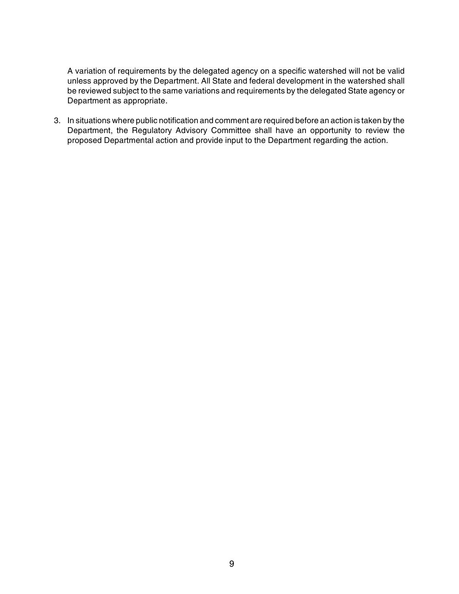A variation of requirements by the delegated agency on a specific watershed will not be valid unless approved by the Department. All State and federal development in the watershed shall be reviewed subject to the same variations and requirements by the delegated State agency or Department as appropriate.

3. In situations where public notification and comment are required before an action is taken by the Department, the Regulatory Advisory Committee shall have an opportunity to review the proposed Departmental action and provide input to the Department regarding the action.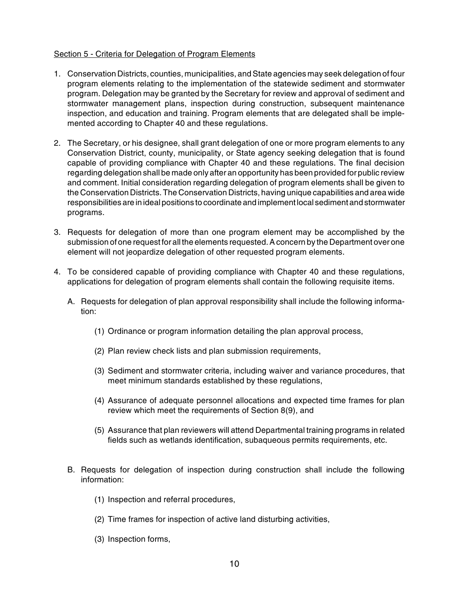## Section 5 - Criteria for Delegation of Program Elements

- 1. Conservation Districts, counties, municipalities, and State agencies may seek delegation of four program elements relating to the implementation of the statewide sediment and stormwater program. Delegation may be granted by the Secretary for review and approval of sediment and stormwater management plans, inspection during construction, subsequent maintenance inspection, and education and training. Program elements that are delegated shall be implemented according to Chapter 40 and these regulations.
- 2. The Secretary, or his designee, shall grant delegation of one or more program elements to any Conservation District, county, municipality, or State agency seeking delegation that is found capable of providing compliance with Chapter 40 and these regulations. The final decision regarding delegation shall be made only after an opportunity has been provided for public review and comment. Initial consideration regarding delegation of program elements shall be given to the Conservation Districts. The Conservation Districts, having unique capabilities and area wide responsibilities are in ideal positions to coordinate and implement local sediment and stormwater programs.
- 3. Requests for delegation of more than one program element may be accomplished by the submission of one request for all the elements requested. A concern by the Department over one element will not jeopardize delegation of other requested program elements.
- 4. To be considered capable of providing compliance with Chapter 40 and these regulations, applications for delegation of program elements shall contain the following requisite items.
	- A. Requests for delegation of plan approval responsibility shall include the following information:
		- (1) Ordinance or program information detailing the plan approval process,
		- (2) Plan review check lists and plan submission requirements,
		- (3) Sediment and stormwater criteria, including waiver and variance procedures, that meet minimum standards established by these regulations,
		- (4) Assurance of adequate personnel allocations and expected time frames for plan review which meet the requirements of Section 8(9), and
		- (5) Assurance that plan reviewers will attend Departmental training programs in related fields such as wetlands identification, subaqueous permits requirements, etc.
	- B. Requests for delegation of inspection during construction shall include the following information:
		- (1) Inspection and referral procedures,
		- (2) Time frames for inspection of active land disturbing activities,
		- (3) Inspection forms,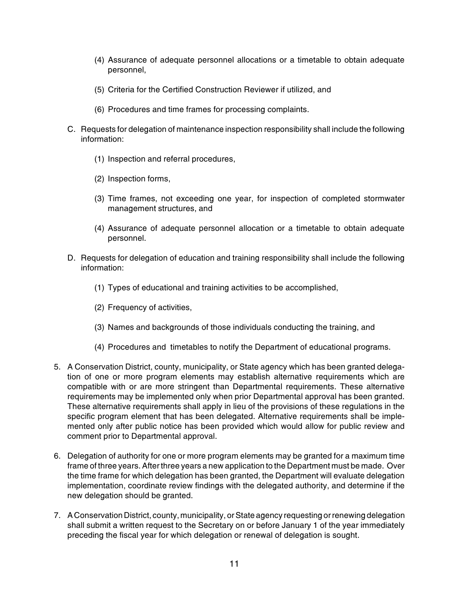- (4) Assurance of adequate personnel allocations or a timetable to obtain adequate personnel,
- (5) Criteria for the Certified Construction Reviewer if utilized, and
- (6) Procedures and time frames for processing complaints.
- C. Requests for delegation of maintenance inspection responsibility shall include the following information:
	- (1) Inspection and referral procedures,
	- (2) Inspection forms,
	- (3) Time frames, not exceeding one year, for inspection of completed stormwater management structures, and
	- (4) Assurance of adequate personnel allocation or a timetable to obtain adequate personnel.
- D. Requests for delegation of education and training responsibility shall include the following information:
	- (1) Types of educational and training activities to be accomplished,
	- (2) Frequency of activities,
	- (3) Names and backgrounds of those individuals conducting the training, and
	- (4) Procedures and timetables to notify the Department of educational programs.
- 5. A Conservation District, county, municipality, or State agency which has been granted delegation of one or more program elements may establish alternative requirements which are compatible with or are more stringent than Departmental requirements. These alternative requirements may be implemented only when prior Departmental approval has been granted. These alternative requirements shall apply in lieu of the provisions of these regulations in the specific program element that has been delegated. Alternative requirements shall be implemented only after public notice has been provided which would allow for public review and comment prior to Departmental approval.
- 6. Delegation of authority for one or more program elements may be granted for a maximum time frame of three years. After three years a new application to the Department must be made. Over the time frame for which delegation has been granted, the Department will evaluate delegation implementation, coordinate review findings with the delegated authority, and determine if the new delegation should be granted.
- 7. A Conservation District, county, municipality, or State agency requesting or renewing delegation shall submit a written request to the Secretary on or before January 1 of the year immediately preceding the fiscal year for which delegation or renewal of delegation is sought.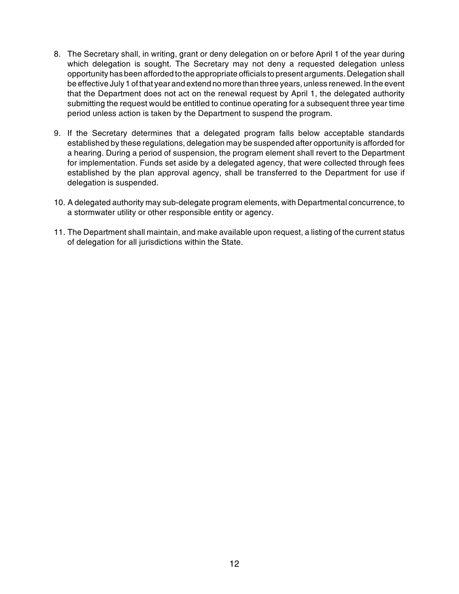- 8. The Secretary shall, in writing, grant or deny delegation on or before April 1 of the year during which delegation is sought. The Secretary may not deny a requested delegation unless opportunity has been afforded to the appropriate officials to present arguments. Delegation shall be effective July 1 of that year and extend no more than three years, unless renewed. In the event that the Department does not act on the renewal request by April 1, the delegated authority submitting the request would be entitled to continue operating for a subsequent three year time period unless action is taken by the Department to suspend the program.
- 9. If the Secretary determines that a delegated program falls below acceptable standards established by these regulations, delegation may be suspended after opportunity is afforded for a hearing. During a period of suspension, the program element shall revert to the Department for implementation. Funds set aside by a delegated agency, that were collected through fees established by the plan approval agency, shall be transferred to the Department for use if delegation is suspended.
- 10. A delegated authority may sub-delegate program elements, with Departmental concurrence, to a stormwater utility or other responsible entity or agency.
- 11. The Department shall maintain, and make available upon request, a listing of the current status of delegation for all jurisdictions within the State.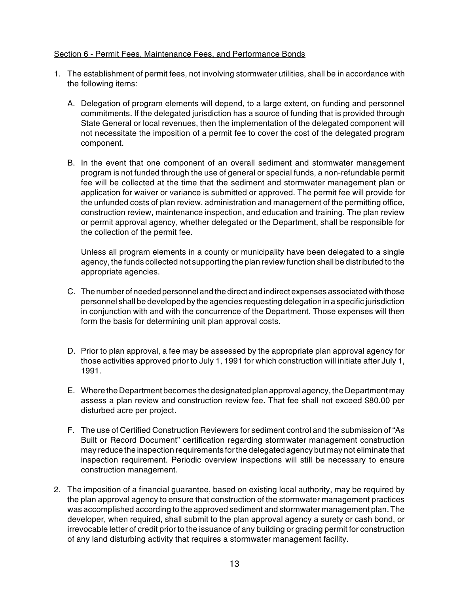#### Section 6 - Permit Fees, Maintenance Fees, and Performance Bonds

- 1. The establishment of permit fees, not involving stormwater utilities, shall be in accordance with the following items:
	- A. Delegation of program elements will depend, to a large extent, on funding and personnel commitments. If the delegated jurisdiction has a source of funding that is provided through State General or local revenues, then the implementation of the delegated component will not necessitate the imposition of a permit fee to cover the cost of the delegated program component.
	- B. In the event that one component of an overall sediment and stormwater management program is not funded through the use of general or special funds, a non-refundable permit fee will be collected at the time that the sediment and stormwater management plan or application for waiver or variance is submitted or approved. The permit fee will provide for the unfunded costs of plan review, administration and management of the permitting office, construction review, maintenance inspection, and education and training. The plan review or permit approval agency, whether delegated or the Department, shall be responsible for the collection of the permit fee.

Unless all program elements in a county or municipality have been delegated to a single agency, the funds collected not supporting the plan review function shall be distributed to the appropriate agencies.

- C. The number of needed personnel and the direct and indirect expenses associated with those personnel shall be developed by the agencies requesting delegation in a specific jurisdiction in conjunction with and with the concurrence of the Department. Those expenses will then form the basis for determining unit plan approval costs.
- D. Prior to plan approval, a fee may be assessed by the appropriate plan approval agency for those activities approved prior to July 1, 1991 for which construction will initiate after July 1, 1991.
- E. Where the Department becomes the designated plan approval agency, the Department may assess a plan review and construction review fee. That fee shall not exceed \$80.00 per disturbed acre per project.
- F. The use of Certified Construction Reviewers for sediment control and the submission of "As Built or Record Document" certification regarding stormwater management construction may reduce the inspection requirements for the delegated agency but may not eliminate that inspection requirement. Periodic overview inspections will still be necessary to ensure construction management.
- 2. The imposition of a financial guarantee, based on existing local authority, may be required by the plan approval agency to ensure that construction of the stormwater management practices was accomplished according to the approved sediment and stormwater management plan. The developer, when required, shall submit to the plan approval agency a surety or cash bond, or irrevocable letter of credit prior to the issuance of any building or grading permit for construction of any land disturbing activity that requires a stormwater management facility.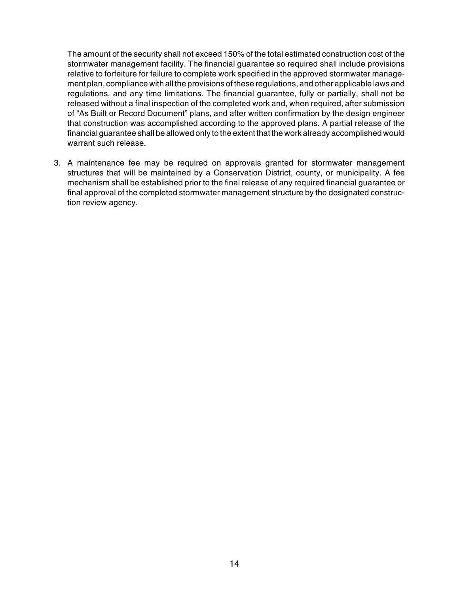The amount of the security shall not exceed 150% of the total estimated construction cost of the stormwater management facility. The financial guarantee so required shall include provisions relative to forfeiture for failure to complete work specified in the approved stormwater management plan, compliance with all the provisions of these regulations, and other applicable laws and regulations, and any time limitations. The financial guarantee, fully or partially, shall not be released without a final inspection of the completed work and, when required, after submission of "As Built or Record Document" plans, and after written confirmation by the design engineer that construction was accomplished according to the approved plans. A partial release of the financial guarantee shall be allowed only to the extent that the work already accomplished would warrant such release.

3. A maintenance fee may be required on approvals granted for stormwater management structures that will be maintained by a Conservation District, county, or municipality. A fee mechanism shall be established prior to the final release of any required financial guarantee or final approval of the completed stormwater management structure by the designated construction review agency.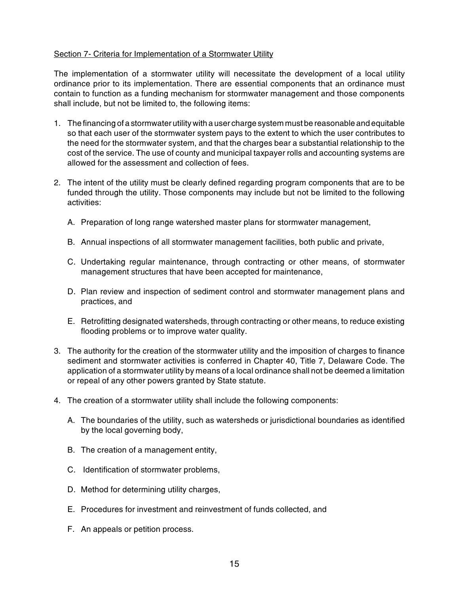#### Section 7- Criteria for Implementation of a Stormwater Utility

The implementation of a stormwater utility will necessitate the development of a local utility ordinance prior to its implementation. There are essential components that an ordinance must contain to function as a funding mechanism for stormwater management and those components shall include, but not be limited to, the following items:

- 1. The financing of a stormwater utility with a user charge system must be reasonable and equitable so that each user of the stormwater system pays to the extent to which the user contributes to the need for the stormwater system, and that the charges bear a substantial relationship to the cost of the service. The use of county and municipal taxpayer rolls and accounting systems are allowed for the assessment and collection of fees.
- 2. The intent of the utility must be clearly defined regarding program components that are to be funded through the utility. Those components may include but not be limited to the following activities:
	- A. Preparation of long range watershed master plans for stormwater management,
	- B. Annual inspections of all stormwater management facilities, both public and private,
	- C. Undertaking regular maintenance, through contracting or other means, of stormwater management structures that have been accepted for maintenance,
	- D. Plan review and inspection of sediment control and stormwater management plans and practices, and
	- E. Retrofitting designated watersheds, through contracting or other means, to reduce existing flooding problems or to improve water quality.
- 3. The authority for the creation of the stormwater utility and the imposition of charges to finance sediment and stormwater activities is conferred in Chapter 40, Title 7, Delaware Code. The application of a stormwater utility by means of a local ordinance shall not be deemed a limitation or repeal of any other powers granted by State statute.
- 4. The creation of a stormwater utility shall include the following components:
	- A. The boundaries of the utility, such as watersheds or jurisdictional boundaries as identified by the local governing body,
	- B. The creation of a management entity,
	- C. Identification of stormwater problems,
	- D. Method for determining utility charges,
	- E. Procedures for investment and reinvestment of funds collected, and
	- F. An appeals or petition process.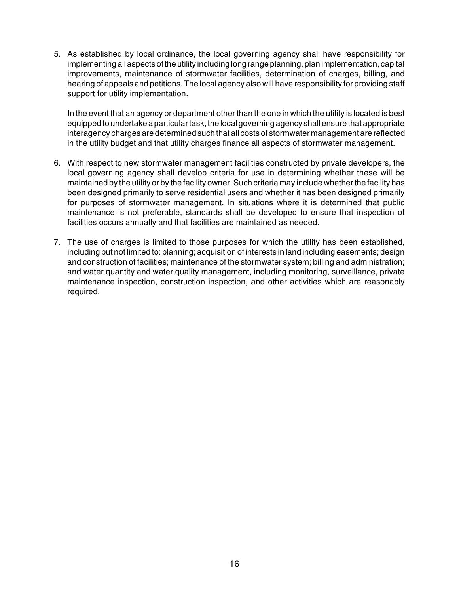5. As established by local ordinance, the local governing agency shall have responsibility for implementing all aspects of the utility including long range planning, plan implementation, capital improvements, maintenance of stormwater facilities, determination of charges, billing, and hearing of appeals and petitions. The local agency also will have responsibility for providing staff support for utility implementation.

In the event that an agency or department other than the one in which the utility is located is best equipped to undertake a particular task, the local governing agency shall ensure that appropriate interagency charges are determined such that all costs of stormwater management are reflected in the utility budget and that utility charges finance all aspects of stormwater management.

- 6. With respect to new stormwater management facilities constructed by private developers, the local governing agency shall develop criteria for use in determining whether these will be maintained by the utility or by the facility owner. Such criteria may include whether the facility has been designed primarily to serve residential users and whether it has been designed primarily for purposes of stormwater management. In situations where it is determined that public maintenance is not preferable, standards shall be developed to ensure that inspection of facilities occurs annually and that facilities are maintained as needed.
- 7. The use of charges is limited to those purposes for which the utility has been established, including but not limited to: planning; acquisition of interests in land including easements; design and construction of facilities; maintenance of the stormwater system; billing and administration; and water quantity and water quality management, including monitoring, surveillance, private maintenance inspection, construction inspection, and other activities which are reasonably required.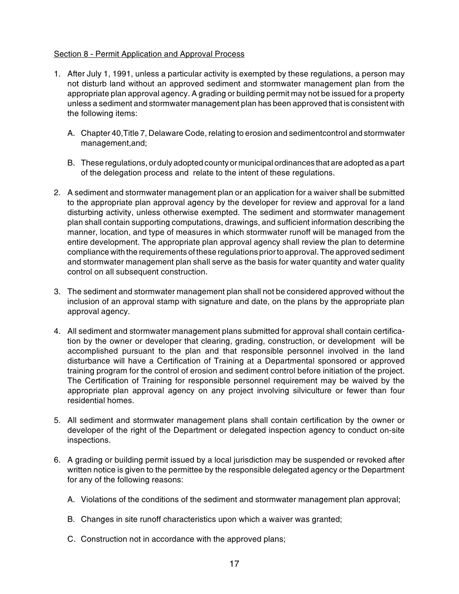### Section 8 - Permit Application and Approval Process

- 1. After July 1, 1991, unless a particular activity is exempted by these regulations, a person may not disturb land without an approved sediment and stormwater management plan from the appropriate plan approval agency. A grading or building permit may not be issued for a property unless a sediment and stormwater management plan has been approved that is consistent with the following items:
	- A. Chapter 40,Title 7, Delaware Code, relating to erosion and sedimentcontrol and stormwater management,and;
	- B. These regulations, or duly adopted county or municipal ordinances that are adopted as a part of the delegation process and relate to the intent of these regulations.
- 2. A sediment and stormwater management plan or an application for a waiver shall be submitted to the appropriate plan approval agency by the developer for review and approval for a land disturbing activity, unless otherwise exempted. The sediment and stormwater management plan shall contain supporting computations, drawings, and sufficient information describing the manner, location, and type of measures in which stormwater runoff will be managed from the entire development. The appropriate plan approval agency shall review the plan to determine compliance with the requirements of these regulations prior to approval. The approved sediment and stormwater management plan shall serve as the basis for water quantity and water quality control on all subsequent construction.
- 3. The sediment and stormwater management plan shall not be considered approved without the inclusion of an approval stamp with signature and date, on the plans by the appropriate plan approval agency.
- 4. All sediment and stormwater management plans submitted for approval shall contain certification by the owner or developer that clearing, grading, construction, or development will be accomplished pursuant to the plan and that responsible personnel involved in the land disturbance will have a Certification of Training at a Departmental sponsored or approved training program for the control of erosion and sediment control before initiation of the project. The Certification of Training for responsible personnel requirement may be waived by the appropriate plan approval agency on any project involving silviculture or fewer than four residential homes.
- 5. All sediment and stormwater management plans shall contain certification by the owner or developer of the right of the Department or delegated inspection agency to conduct on-site inspections.
- 6. A grading or building permit issued by a local jurisdiction may be suspended or revoked after written notice is given to the permittee by the responsible delegated agency or the Department for any of the following reasons:
	- A. Violations of the conditions of the sediment and stormwater management plan approval;
	- B. Changes in site runoff characteristics upon which a waiver was granted;
	- C. Construction not in accordance with the approved plans;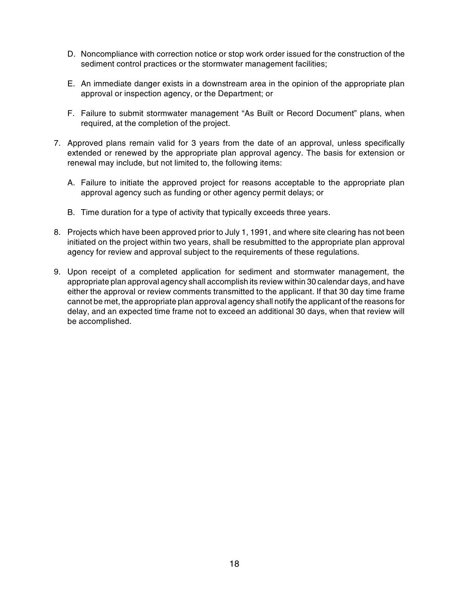- D. Noncompliance with correction notice or stop work order issued for the construction of the sediment control practices or the stormwater management facilities;
- E. An immediate danger exists in a downstream area in the opinion of the appropriate plan approval or inspection agency, or the Department; or
- F. Failure to submit stormwater management "As Built or Record Document" plans, when required, at the completion of the project.
- 7. Approved plans remain valid for 3 years from the date of an approval, unless specifically extended or renewed by the appropriate plan approval agency. The basis for extension or renewal may include, but not limited to, the following items:
	- A. Failure to initiate the approved project for reasons acceptable to the appropriate plan approval agency such as funding or other agency permit delays; or
	- B. Time duration for a type of activity that typically exceeds three years.
- 8. Projects which have been approved prior to July 1, 1991, and where site clearing has not been initiated on the project within two years, shall be resubmitted to the appropriate plan approval agency for review and approval subject to the requirements of these regulations.
- 9. Upon receipt of a completed application for sediment and stormwater management, the appropriate plan approval agency shall accomplish its review within 30 calendar days, and have either the approval or review comments transmitted to the applicant. If that 30 day time frame cannot be met, the appropriate plan approval agency shall notify the applicant of the reasons for delay, and an expected time frame not to exceed an additional 30 days, when that review will be accomplished.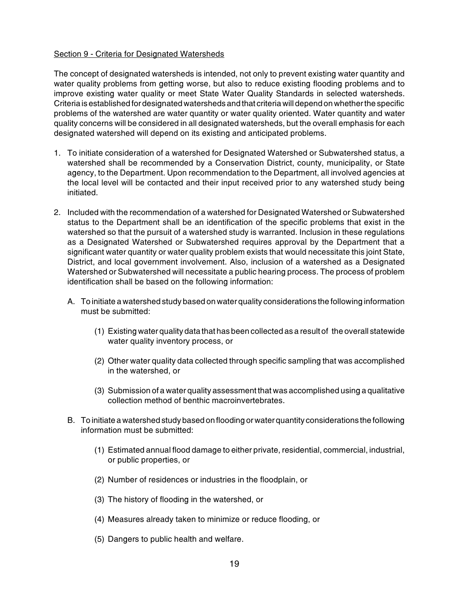#### Section 9 - Criteria for Designated Watersheds

The concept of designated watersheds is intended, not only to prevent existing water quantity and water quality problems from getting worse, but also to reduce existing flooding problems and to improve existing water quality or meet State Water Quality Standards in selected watersheds. Criteria is established for designated watersheds and that criteria will depend on whether the specific problems of the watershed are water quantity or water quality oriented. Water quantity and water quality concerns will be considered in all designated watersheds, but the overall emphasis for each designated watershed will depend on its existing and anticipated problems.

- 1. To initiate consideration of a watershed for Designated Watershed or Subwatershed status, a watershed shall be recommended by a Conservation District, county, municipality, or State agency, to the Department. Upon recommendation to the Department, all involved agencies at the local level will be contacted and their input received prior to any watershed study being initiated.
- 2. Included with the recommendation of a watershed for Designated Watershed or Subwatershed status to the Department shall be an identification of the specific problems that exist in the watershed so that the pursuit of a watershed study is warranted. Inclusion in these regulations as a Designated Watershed or Subwatershed requires approval by the Department that a significant water quantity or water quality problem exists that would necessitate this joint State, District, and local government involvement. Also, inclusion of a watershed as a Designated Watershed or Subwatershed will necessitate a public hearing process. The process of problem identification shall be based on the following information:
	- A. To initiate a watershed study based on water quality considerations the following information must be submitted:
		- (1) Existing water quality data that has been collected as a result of the overall statewide water quality inventory process, or
		- (2) Other water quality data collected through specific sampling that was accomplished in the watershed, or
		- (3) Submission of a water quality assessment that was accomplished using a qualitative collection method of benthic macroinvertebrates.
	- B. To initiate a watershed study based on flooding or water quantity considerations the following information must be submitted:
		- (1) Estimated annual flood damage to either private, residential, commercial, industrial, or public properties, or
		- (2) Number of residences or industries in the floodplain, or
		- (3) The history of flooding in the watershed, or
		- (4) Measures already taken to minimize or reduce flooding, or
		- (5) Dangers to public health and welfare.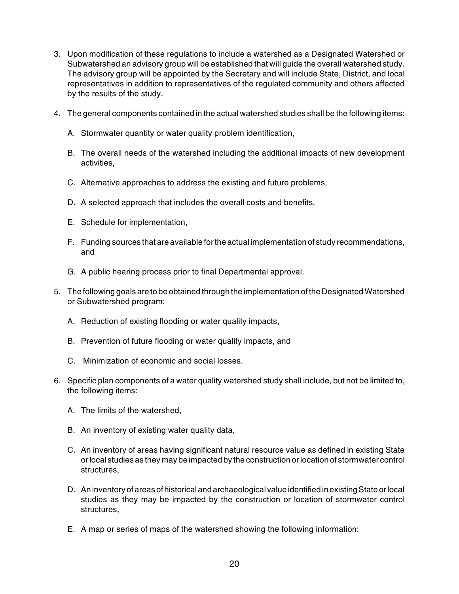- 3. Upon modification of these regulations to include a watershed as a Designated Watershed or Subwatershed an advisory group will be established that will guide the overall watershed study. The advisory group will be appointed by the Secretary and will include State, District, and local representatives in addition to representatives of the regulated community and others affected by the results of the study.
- 4. The general components contained in the actual watershed studies shall be the following items:
	- A. Stormwater quantity or water quality problem identification,
	- B. The overall needs of the watershed including the additional impacts of new development activities,
	- C. Alternative approaches to address the existing and future problems,
	- D. A selected approach that includes the overall costs and benefits,
	- E. Schedule for implementation,
	- F. Funding sources that are available for the actual implementation of study recommendations, and
	- G. A public hearing process prior to final Departmental approval.
- 5. The following goals are to be obtained through the implementation of the Designated Watershed or Subwatershed program:
	- A. Reduction of existing flooding or water quality impacts,
	- B. Prevention of future flooding or water quality impacts, and
	- C. Minimization of economic and social losses.
- 6. Specific plan components of a water quality watershed study shall include, but not be limited to, the following items:
	- A. The limits of the watershed,
	- B. An inventory of existing water quality data,
	- C. An inventory of areas having significant natural resource value as defined in existing State or local studies as they may be impacted by the construction or location of stormwater control structures,
	- D. An inventory of areas of historical and archaeological value identified in existing State or local studies as they may be impacted by the construction or location of stormwater control structures,
	- E. A map or series of maps of the watershed showing the following information: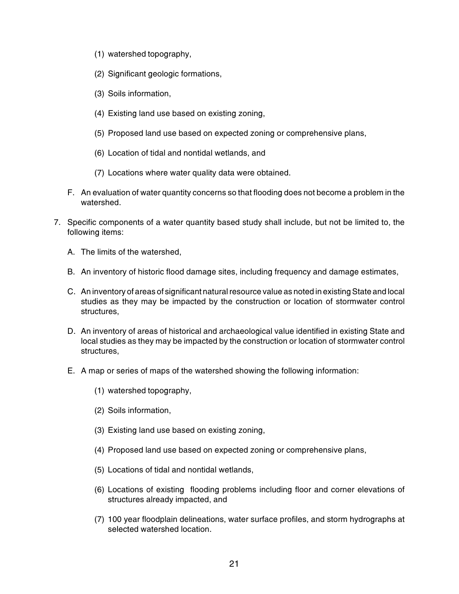- (1) watershed topography,
- (2) Significant geologic formations,
- (3) Soils information,
- (4) Existing land use based on existing zoning,
- (5) Proposed land use based on expected zoning or comprehensive plans,
- (6) Location of tidal and nontidal wetlands, and
- (7) Locations where water quality data were obtained.
- F. An evaluation of water quantity concerns so that flooding does not become a problem in the watershed.
- 7. Specific components of a water quantity based study shall include, but not be limited to, the following items:
	- A. The limits of the watershed,
	- B. An inventory of historic flood damage sites, including frequency and damage estimates,
	- C. An inventory of areas of significant natural resource value as noted in existing State and local studies as they may be impacted by the construction or location of stormwater control structures,
	- D. An inventory of areas of historical and archaeological value identified in existing State and local studies as they may be impacted by the construction or location of stormwater control structures,
	- E. A map or series of maps of the watershed showing the following information:
		- (1) watershed topography,
		- (2) Soils information,
		- (3) Existing land use based on existing zoning,
		- (4) Proposed land use based on expected zoning or comprehensive plans,
		- (5) Locations of tidal and nontidal wetlands,
		- (6) Locations of existing flooding problems including floor and corner elevations of structures already impacted, and
		- (7) 100 year floodplain delineations, water surface profiles, and storm hydrographs at selected watershed location.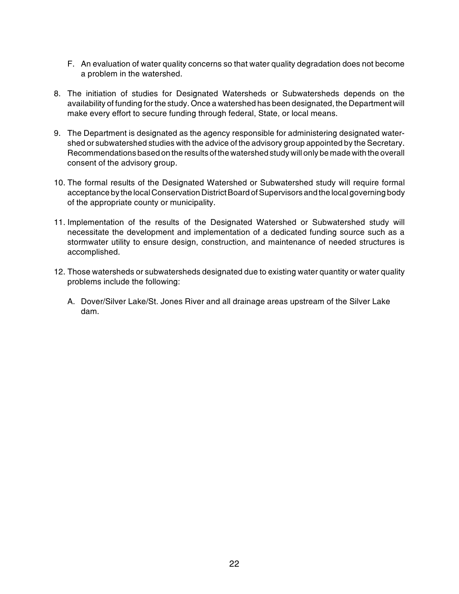- F. An evaluation of water quality concerns so that water quality degradation does not become a problem in the watershed.
- 8. The initiation of studies for Designated Watersheds or Subwatersheds depends on the availability of funding for the study. Once a watershed has been designated, the Department will make every effort to secure funding through federal, State, or local means.
- 9. The Department is designated as the agency responsible for administering designated watershed or subwatershed studies with the advice of the advisory group appointed by the Secretary. Recommendations based on the results of the watershed study will only be made with the overall consent of the advisory group.
- 10. The formal results of the Designated Watershed or Subwatershed study will require formal acceptance by the local Conservation District Board of Supervisors and the local governing body of the appropriate county or municipality.
- 11. Implementation of the results of the Designated Watershed or Subwatershed study will necessitate the development and implementation of a dedicated funding source such as a stormwater utility to ensure design, construction, and maintenance of needed structures is accomplished.
- 12. Those watersheds or subwatersheds designated due to existing water quantity or water quality problems include the following:
	- A. Dover/Silver Lake/St. Jones River and all drainage areas upstream of the Silver Lake dam.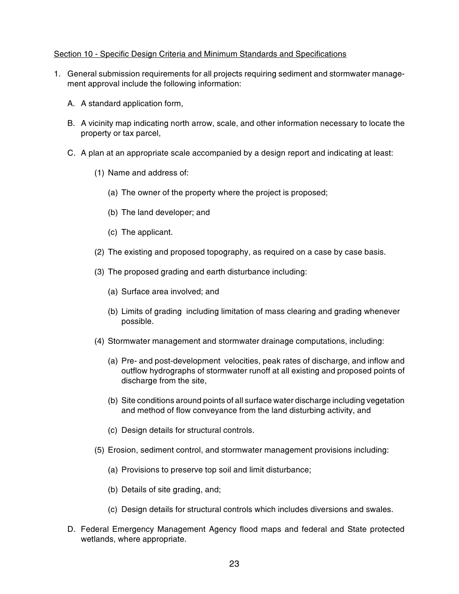#### Section 10 - Specific Design Criteria and Minimum Standards and Specifications

- 1. General submission requirements for all projects requiring sediment and stormwater management approval include the following information:
	- A. A standard application form,
	- B. A vicinity map indicating north arrow, scale, and other information necessary to locate the property or tax parcel,
	- C. A plan at an appropriate scale accompanied by a design report and indicating at least:
		- (1) Name and address of:
			- (a) The owner of the property where the project is proposed;
			- (b) The land developer; and
			- (c) The applicant.
		- (2) The existing and proposed topography, as required on a case by case basis.
		- (3) The proposed grading and earth disturbance including:
			- (a) Surface area involved; and
			- (b) Limits of grading including limitation of mass clearing and grading whenever possible.
		- (4) Stormwater management and stormwater drainage computations, including:
			- (a) Pre- and post-development velocities, peak rates of discharge, and inflow and outflow hydrographs of stormwater runoff at all existing and proposed points of discharge from the site,
			- (b) Site conditions around points of all surface water discharge including vegetation and method of flow conveyance from the land disturbing activity, and
			- (c) Design details for structural controls.
		- (5) Erosion, sediment control, and stormwater management provisions including:
			- (a) Provisions to preserve top soil and limit disturbance;
			- (b) Details of site grading, and;
			- (c) Design details for structural controls which includes diversions and swales.
	- D. Federal Emergency Management Agency flood maps and federal and State protected wetlands, where appropriate.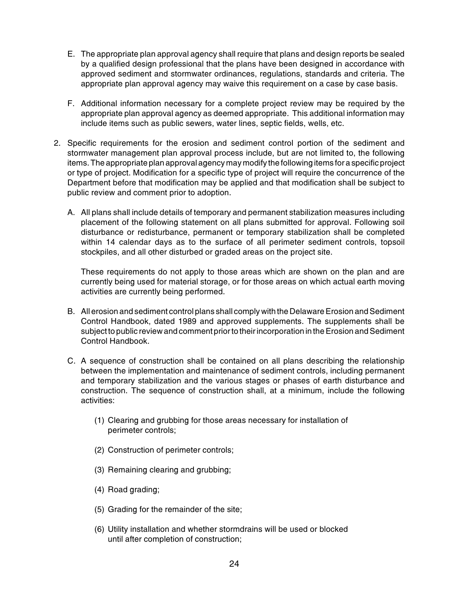- E. The appropriate plan approval agency shall require that plans and design reports be sealed by a qualified design professional that the plans have been designed in accordance with approved sediment and stormwater ordinances, regulations, standards and criteria. The appropriate plan approval agency may waive this requirement on a case by case basis.
- F. Additional information necessary for a complete project review may be required by the appropriate plan approval agency as deemed appropriate. This additional information may include items such as public sewers, water lines, septic fields, wells, etc.
- 2. Specific requirements for the erosion and sediment control portion of the sediment and stormwater management plan approval process include, but are not limited to, the following items. The appropriate plan approval agency may modify the following items for a specific project or type of project. Modification for a specific type of project will require the concurrence of the Department before that modification may be applied and that modification shall be subject to public review and comment prior to adoption.
	- A. All plans shall include details of temporary and permanent stabilization measures including placement of the following statement on all plans submitted for approval. Following soil disturbance or redisturbance, permanent or temporary stabilization shall be completed within 14 calendar days as to the surface of all perimeter sediment controls, topsoil stockpiles, and all other disturbed or graded areas on the project site.

These requirements do not apply to those areas which are shown on the plan and are currently being used for material storage, or for those areas on which actual earth moving activities are currently being performed.

- B. All erosion and sediment control plans shall comply with the Delaware Erosion and Sediment Control Handbook, dated 1989 and approved supplements. The supplements shall be subject to public review and comment prior to their incorporation in the Erosion and Sediment Control Handbook.
- C. A sequence of construction shall be contained on all plans describing the relationship between the implementation and maintenance of sediment controls, including permanent and temporary stabilization and the various stages or phases of earth disturbance and construction. The sequence of construction shall, at a minimum, include the following activities:
	- (1) Clearing and grubbing for those areas necessary for installation of perimeter controls;
	- (2) Construction of perimeter controls;
	- (3) Remaining clearing and grubbing;
	- (4) Road grading;
	- (5) Grading for the remainder of the site;
	- (6) Utility installation and whether stormdrains will be used or blocked until after completion of construction;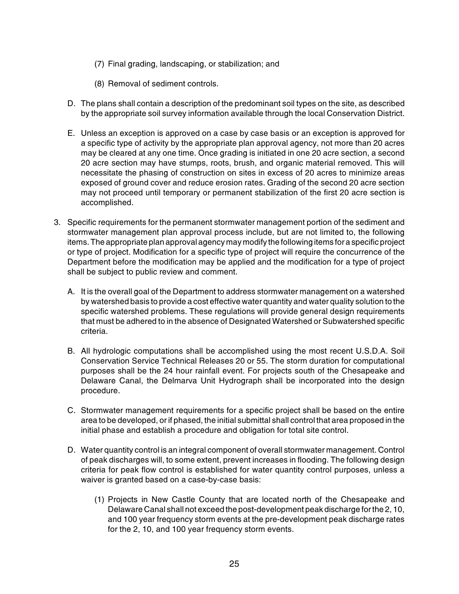- (7) Final grading, landscaping, or stabilization; and
- (8) Removal of sediment controls.
- D. The plans shall contain a description of the predominant soil types on the site, as described by the appropriate soil survey information available through the local Conservation District.
- E. Unless an exception is approved on a case by case basis or an exception is approved for a specific type of activity by the appropriate plan approval agency, not more than 20 acres may be cleared at any one time. Once grading is initiated in one 20 acre section, a second 20 acre section may have stumps, roots, brush, and organic material removed. This will necessitate the phasing of construction on sites in excess of 20 acres to minimize areas exposed of ground cover and reduce erosion rates. Grading of the second 20 acre section may not proceed until temporary or permanent stabilization of the first 20 acre section is accomplished.
- 3. Specific requirements for the permanent stormwater management portion of the sediment and stormwater management plan approval process include, but are not limited to, the following items. The appropriate plan approval agency may modify the following items for a specific project or type of project. Modification for a specific type of project will require the concurrence of the Department before the modification may be applied and the modification for a type of project shall be subject to public review and comment.
	- A. It is the overall goal of the Department to address stormwater management on a watershed by watershed basis to provide a cost effective water quantity and water quality solution to the specific watershed problems. These regulations will provide general design requirements that must be adhered to in the absence of Designated Watershed or Subwatershed specific criteria.
	- B. All hydrologic computations shall be accomplished using the most recent U.S.D.A. Soil Conservation Service Technical Releases 20 or 55. The storm duration for computational purposes shall be the 24 hour rainfall event. For projects south of the Chesapeake and Delaware Canal, the Delmarva Unit Hydrograph shall be incorporated into the design procedure.
	- C. Stormwater management requirements for a specific project shall be based on the entire area to be developed, or if phased, the initial submittal shall control that area proposed in the initial phase and establish a procedure and obligation for total site control.
	- D. Water quantity control is an integral component of overall stormwater management. Control of peak discharges will, to some extent, prevent increases in flooding. The following design criteria for peak flow control is established for water quantity control purposes, unless a waiver is granted based on a case-by-case basis:
		- (1) Projects in New Castle County that are located north of the Chesapeake and Delaware Canal shall not exceed the post-development peak discharge for the 2, 10, and 100 year frequency storm events at the pre-development peak discharge rates for the 2, 10, and 100 year frequency storm events.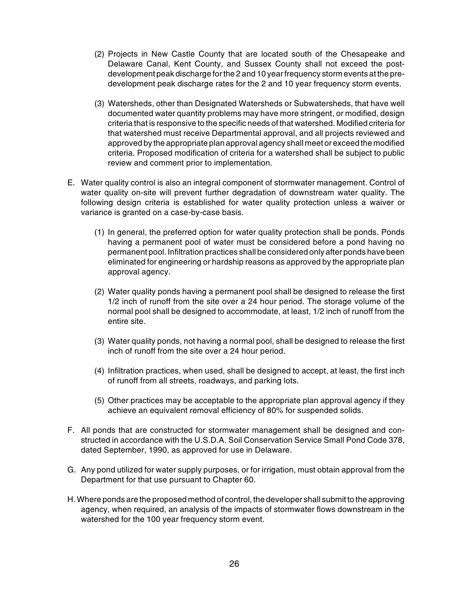- (2) Projects in New Castle County that are located south of the Chesapeake and Delaware Canal, Kent County, and Sussex County shall not exceed the postdevelopment peak discharge for the 2 and 10 year frequency storm events at the predevelopment peak discharge rates for the 2 and 10 year frequency storm events.
- (3) Watersheds, other than Designated Watersheds or Subwatersheds, that have well documented water quantity problems may have more stringent, or modified, design criteria that is responsive to the specific needs of that watershed. Modified criteria for that watershed must receive Departmental approval, and all projects reviewed and approved by the appropriate plan approval agency shall meet or exceed the modified criteria. Proposed modification of criteria for a watershed shall be subject to public review and comment prior to implementation.
- E. Water quality control is also an integral component of stormwater management. Control of water quality on-site will prevent further degradation of downstream water quality. The following design criteria is established for water quality protection unless a waiver or variance is granted on a case-by-case basis.
	- (1) In general, the preferred option for water quality protection shall be ponds. Ponds having a permanent pool of water must be considered before a pond having no permanent pool. Infiltration practices shall be considered only after ponds have been eliminated for engineering or hardship reasons as approved by the appropriate plan approval agency.
	- (2) Water quality ponds having a permanent pool shall be designed to release the first 1/2 inch of runoff from the site over a 24 hour period. The storage volume of the normal pool shall be designed to accommodate, at least, 1/2 inch of runoff from the entire site.
	- (3) Water quality ponds, not having a normal pool, shall be designed to release the first inch of runoff from the site over a 24 hour period.
	- (4) Infiltration practices, when used, shall be designed to accept, at least, the first inch of runoff from all streets, roadways, and parking lots.
	- (5) Other practices may be acceptable to the appropriate plan approval agency if they achieve an equivalent removal efficiency of 80% for suspended solids.
- F. All ponds that are constructed for stormwater management shall be designed and constructed in accordance with the U.S.D.A. Soil Conservation Service Small Pond Code 378, dated September, 1990, as approved for use in Delaware.
- G. Any pond utilized for water supply purposes, or for irrigation, must obtain approval from the Department for that use pursuant to Chapter 60.
- H. Where ponds are the proposed method of control, the developer shall submit to the approving agency, when required, an analysis of the impacts of stormwater flows downstream in the watershed for the 100 year frequency storm event.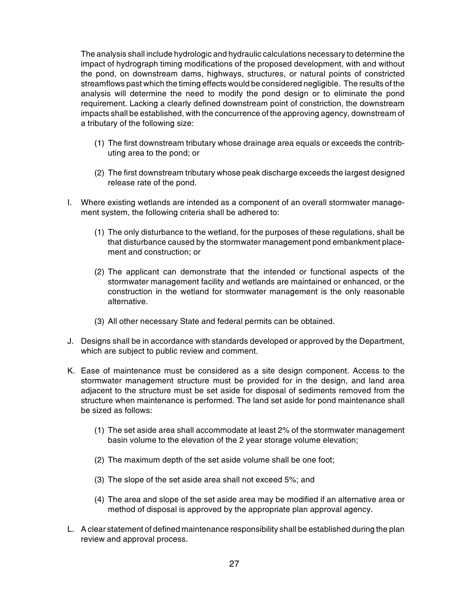The analysis shall include hydrologic and hydraulic calculations necessary to determine the impact of hydrograph timing modifications of the proposed development, with and without the pond, on downstream dams, highways, structures, or natural points of constricted streamflows past which the timing effects would be considered negligible. The results of the analysis will determine the need to modify the pond design or to eliminate the pond requirement. Lacking a clearly defined downstream point of constriction, the downstream impacts shall be established, with the concurrence of the approving agency, downstream of a tributary of the following size:

- (1) The first downstream tributary whose drainage area equals or exceeds the contributing area to the pond; or
- (2) The first downstream tributary whose peak discharge exceeds the largest designed release rate of the pond.
- I. Where existing wetlands are intended as a component of an overall stormwater management system, the following criteria shall be adhered to:
	- (1) The only disturbance to the wetland, for the purposes of these regulations, shall be that disturbance caused by the stormwater management pond embankment placement and construction; or
	- (2) The applicant can demonstrate that the intended or functional aspects of the stormwater management facility and wetlands are maintained or enhanced, or the construction in the wetland for stormwater management is the only reasonable alternative.
	- (3) All other necessary State and federal permits can be obtained.
- J. Designs shall be in accordance with standards developed or approved by the Department, which are subject to public review and comment.
- K. Ease of maintenance must be considered as a site design component. Access to the stormwater management structure must be provided for in the design, and land area adjacent to the structure must be set aside for disposal of sediments removed from the structure when maintenance is performed. The land set aside for pond maintenance shall be sized as follows:
	- (1) The set aside area shall accommodate at least 2% of the stormwater management basin volume to the elevation of the 2 year storage volume elevation;
	- (2) The maximum depth of the set aside volume shall be one foot;
	- (3) The slope of the set aside area shall not exceed 5%; and
	- (4) The area and slope of the set aside area may be modified if an alternative area or method of disposal is approved by the appropriate plan approval agency.
- L. A clear statement of defined maintenance responsibility shall be established during the plan review and approval process.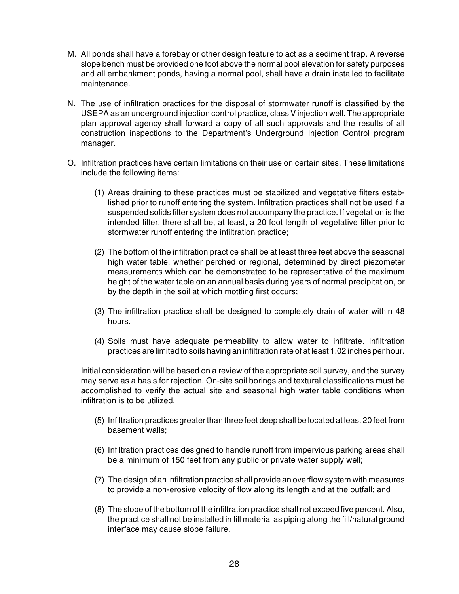- M. All ponds shall have a forebay or other design feature to act as a sediment trap. A reverse slope bench must be provided one foot above the normal pool elevation for safety purposes and all embankment ponds, having a normal pool, shall have a drain installed to facilitate maintenance.
- N. The use of infiltration practices for the disposal of stormwater runoff is classified by the USEPA as an underground injection control practice, class V injection well. The appropriate plan approval agency shall forward a copy of all such approvals and the results of all construction inspections to the Department's Underground Injection Control program manager.
- O. Infiltration practices have certain limitations on their use on certain sites. These limitations include the following items:
	- (1) Areas draining to these practices must be stabilized and vegetative filters established prior to runoff entering the system. Infiltration practices shall not be used if a suspended solids filter system does not accompany the practice. If vegetation is the intended filter, there shall be, at least, a 20 foot length of vegetative filter prior to stormwater runoff entering the infiltration practice;
	- (2) The bottom of the infiltration practice shall be at least three feet above the seasonal high water table, whether perched or regional, determined by direct piezometer measurements which can be demonstrated to be representative of the maximum height of the water table on an annual basis during years of normal precipitation, or by the depth in the soil at which mottling first occurs;
	- (3) The infiltration practice shall be designed to completely drain of water within 48 hours.
	- (4) Soils must have adequate permeability to allow water to infiltrate. Infiltration practices are limited to soils having an infiltration rate of at least 1.02 inches per hour.

Initial consideration will be based on a review of the appropriate soil survey, and the survey may serve as a basis for rejection. On-site soil borings and textural classifications must be accomplished to verify the actual site and seasonal high water table conditions when infiltration is to be utilized.

- (5) Infiltration practices greater than three feet deep shall be located at least 20 feet from basement walls;
- (6) Infiltration practices designed to handle runoff from impervious parking areas shall be a minimum of 150 feet from any public or private water supply well;
- (7) The design of an infiltration practice shall provide an overflow system with measures to provide a non-erosive velocity of flow along its length and at the outfall; and
- (8) The slope of the bottom of the infiltration practice shall not exceed five percent. Also, the practice shall not be installed in fill material as piping along the fill/natural ground interface may cause slope failure.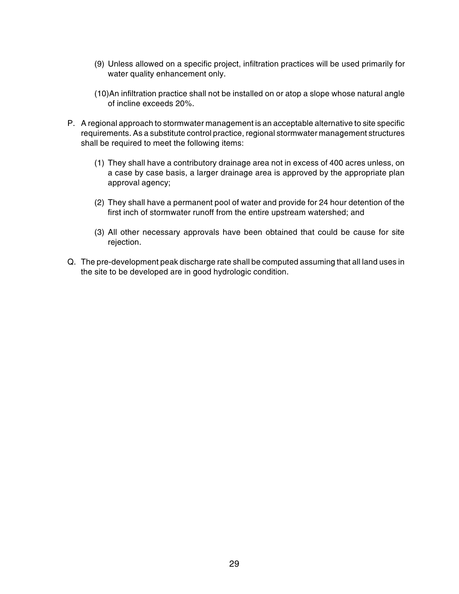- (9) Unless allowed on a specific project, infiltration practices will be used primarily for water quality enhancement only.
- (10)An infiltration practice shall not be installed on or atop a slope whose natural angle of incline exceeds 20%.
- P. A regional approach to stormwater management is an acceptable alternative to site specific requirements. As a substitute control practice, regional stormwater management structures shall be required to meet the following items:
	- (1) They shall have a contributory drainage area not in excess of 400 acres unless, on a case by case basis, a larger drainage area is approved by the appropriate plan approval agency;
	- (2) They shall have a permanent pool of water and provide for 24 hour detention of the first inch of stormwater runoff from the entire upstream watershed; and
	- (3) All other necessary approvals have been obtained that could be cause for site rejection.
- Q. The pre-development peak discharge rate shall be computed assuming that all land uses in the site to be developed are in good hydrologic condition.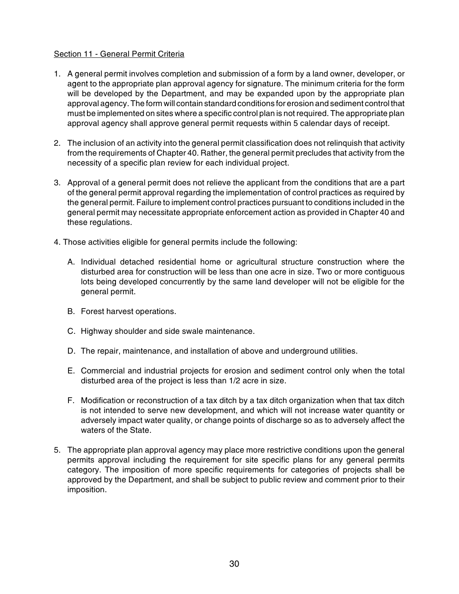## Section 11 - General Permit Criteria

- 1. A general permit involves completion and submission of a form by a land owner, developer, or agent to the appropriate plan approval agency for signature. The minimum criteria for the form will be developed by the Department, and may be expanded upon by the appropriate plan approval agency. The form will contain standard conditions for erosion and sediment control that must be implemented on sites where a specific control plan is not required. The appropriate plan approval agency shall approve general permit requests within 5 calendar days of receipt.
- 2. The inclusion of an activity into the general permit classification does not relinquish that activity from the requirements of Chapter 40. Rather, the general permit precludes that activity from the necessity of a specific plan review for each individual project.
- 3. Approval of a general permit does not relieve the applicant from the conditions that are a part of the general permit approval regarding the implementation of control practices as required by the general permit. Failure to implement control practices pursuant to conditions included in the general permit may necessitate appropriate enforcement action as provided in Chapter 40 and these regulations.
- 4. Those activities eligible for general permits include the following:
	- A. Individual detached residential home or agricultural structure construction where the disturbed area for construction will be less than one acre in size. Two or more contiguous lots being developed concurrently by the same land developer will not be eligible for the general permit.
	- B. Forest harvest operations.
	- C. Highway shoulder and side swale maintenance.
	- D. The repair, maintenance, and installation of above and underground utilities.
	- E. Commercial and industrial projects for erosion and sediment control only when the total disturbed area of the project is less than 1/2 acre in size.
	- F. Modification or reconstruction of a tax ditch by a tax ditch organization when that tax ditch is not intended to serve new development, and which will not increase water quantity or adversely impact water quality, or change points of discharge so as to adversely affect the waters of the State.
- 5. The appropriate plan approval agency may place more restrictive conditions upon the general permits approval including the requirement for site specific plans for any general permits category. The imposition of more specific requirements for categories of projects shall be approved by the Department, and shall be subject to public review and comment prior to their imposition.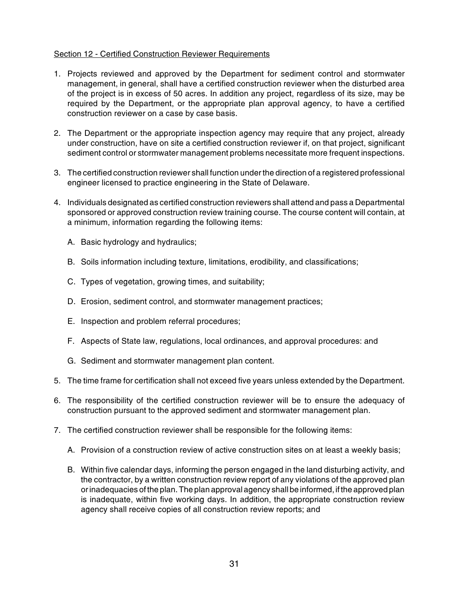## Section 12 - Certified Construction Reviewer Requirements

- 1. Projects reviewed and approved by the Department for sediment control and stormwater management, in general, shall have a certified construction reviewer when the disturbed area of the project is in excess of 50 acres. In addition any project, regardless of its size, may be required by the Department, or the appropriate plan approval agency, to have a certified construction reviewer on a case by case basis.
- 2. The Department or the appropriate inspection agency may require that any project, already under construction, have on site a certified construction reviewer if, on that project, significant sediment control or stormwater management problems necessitate more frequent inspections.
- 3. The certified construction reviewer shall function under the direction of a registered professional engineer licensed to practice engineering in the State of Delaware.
- 4. Individuals designated as certified construction reviewers shall attend and pass a Departmental sponsored or approved construction review training course. The course content will contain, at a minimum, information regarding the following items:
	- A. Basic hydrology and hydraulics;
	- B. Soils information including texture, limitations, erodibility, and classifications;
	- C. Types of vegetation, growing times, and suitability;
	- D. Erosion, sediment control, and stormwater management practices;
	- E. Inspection and problem referral procedures;
	- F. Aspects of State law, regulations, local ordinances, and approval procedures: and
	- G. Sediment and stormwater management plan content.
- 5. The time frame for certification shall not exceed five years unless extended by the Department.
- 6. The responsibility of the certified construction reviewer will be to ensure the adequacy of construction pursuant to the approved sediment and stormwater management plan.
- 7. The certified construction reviewer shall be responsible for the following items:
	- A. Provision of a construction review of active construction sites on at least a weekly basis;
	- B. Within five calendar days, informing the person engaged in the land disturbing activity, and the contractor, by a written construction review report of any violations of the approved plan or inadequacies of the plan. The plan approval agency shall be informed, if the approved plan is inadequate, within five working days. In addition, the appropriate construction review agency shall receive copies of all construction review reports; and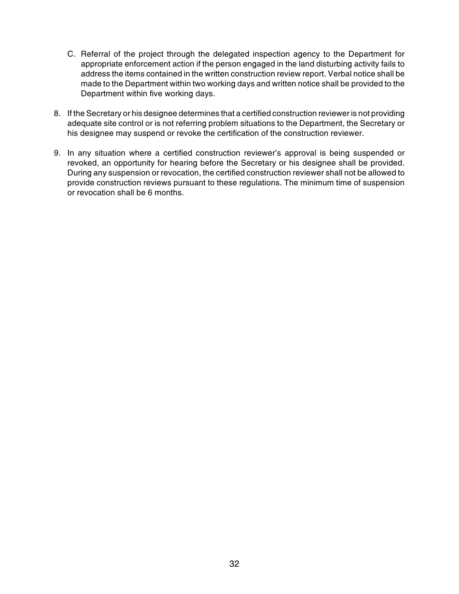- C. Referral of the project through the delegated inspection agency to the Department for appropriate enforcement action if the person engaged in the land disturbing activity fails to address the items contained in the written construction review report. Verbal notice shall be made to the Department within two working days and written notice shall be provided to the Department within five working days.
- 8. If the Secretary or his designee determines that a certified construction reviewer is not providing adequate site control or is not referring problem situations to the Department, the Secretary or his designee may suspend or revoke the certification of the construction reviewer.
- 9. In any situation where a certified construction reviewer's approval is being suspended or revoked, an opportunity for hearing before the Secretary or his designee shall be provided. During any suspension or revocation, the certified construction reviewer shall not be allowed to provide construction reviews pursuant to these regulations. The minimum time of suspension or revocation shall be 6 months.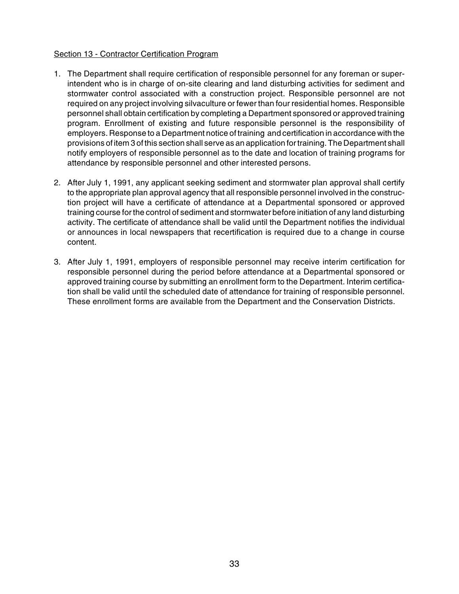### Section 13 - Contractor Certification Program

- 1. The Department shall require certification of responsible personnel for any foreman or superintendent who is in charge of on-site clearing and land disturbing activities for sediment and stormwater control associated with a construction project. Responsible personnel are not required on any project involving silvaculture or fewer than four residential homes. Responsible personnel shall obtain certification by completing a Department sponsored or approved training program. Enrollment of existing and future responsible personnel is the responsibility of employers. Response to a Department notice of training and certification in accordance with the provisions of item 3 of this section shall serve as an application for training. The Department shall notify employers of responsible personnel as to the date and location of training programs for attendance by responsible personnel and other interested persons.
- 2. After July 1, 1991, any applicant seeking sediment and stormwater plan approval shall certify to the appropriate plan approval agency that all responsible personnel involved in the construction project will have a certificate of attendance at a Departmental sponsored or approved training course for the control of sediment and stormwater before initiation of any land disturbing activity. The certificate of attendance shall be valid until the Department notifies the individual or announces in local newspapers that recertification is required due to a change in course content.
- 3. After July 1, 1991, employers of responsible personnel may receive interim certification for responsible personnel during the period before attendance at a Departmental sponsored or approved training course by submitting an enrollment form to the Department. Interim certification shall be valid until the scheduled date of attendance for training of responsible personnel. These enrollment forms are available from the Department and the Conservation Districts.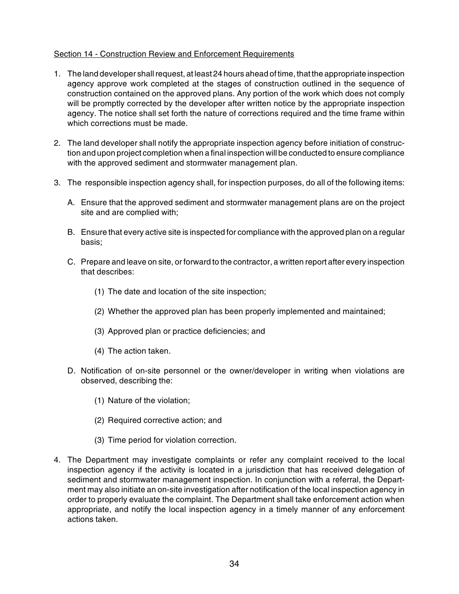## Section 14 - Construction Review and Enforcement Requirements

- 1. The land developer shall request, at least 24 hours ahead of time, that the appropriate inspection agency approve work completed at the stages of construction outlined in the sequence of construction contained on the approved plans. Any portion of the work which does not comply will be promptly corrected by the developer after written notice by the appropriate inspection agency. The notice shall set forth the nature of corrections required and the time frame within which corrections must be made.
- 2. The land developer shall notify the appropriate inspection agency before initiation of construction and upon project completion when a final inspection will be conducted to ensure compliance with the approved sediment and stormwater management plan.
- 3. The responsible inspection agency shall, for inspection purposes, do all of the following items:
	- A. Ensure that the approved sediment and stormwater management plans are on the project site and are complied with;
	- B. Ensure that every active site is inspected for compliance with the approved plan on a regular basis;
	- C. Prepare and leave on site, or forward to the contractor, a written report after every inspection that describes:
		- (1) The date and location of the site inspection;
		- (2) Whether the approved plan has been properly implemented and maintained;
		- (3) Approved plan or practice deficiencies; and
		- (4) The action taken.
	- D. Notification of on-site personnel or the owner/developer in writing when violations are observed, describing the:
		- (1) Nature of the violation;
		- (2) Required corrective action; and
		- (3) Time period for violation correction.
- 4. The Department may investigate complaints or refer any complaint received to the local inspection agency if the activity is located in a jurisdiction that has received delegation of sediment and stormwater management inspection. In conjunction with a referral, the Department may also initiate an on-site investigation after notification of the local inspection agency in order to properly evaluate the complaint. The Department shall take enforcement action when appropriate, and notify the local inspection agency in a timely manner of any enforcement actions taken.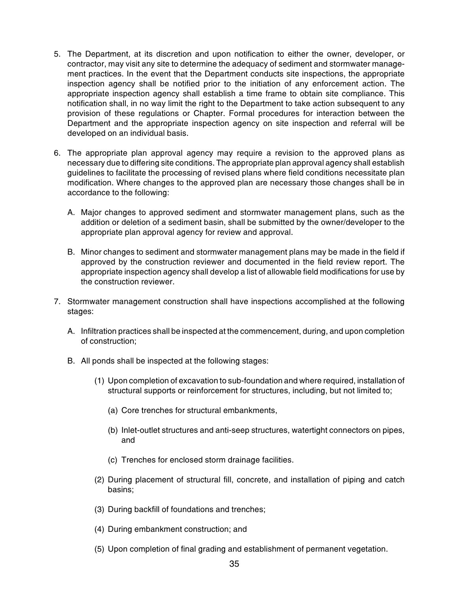- 5. The Department, at its discretion and upon notification to either the owner, developer, or contractor, may visit any site to determine the adequacy of sediment and stormwater management practices. In the event that the Department conducts site inspections, the appropriate inspection agency shall be notified prior to the initiation of any enforcement action. The appropriate inspection agency shall establish a time frame to obtain site compliance. This notification shall, in no way limit the right to the Department to take action subsequent to any provision of these regulations or Chapter. Formal procedures for interaction between the Department and the appropriate inspection agency on site inspection and referral will be developed on an individual basis.
- 6. The appropriate plan approval agency may require a revision to the approved plans as necessary due to differing site conditions. The appropriate plan approval agency shall establish guidelines to facilitate the processing of revised plans where field conditions necessitate plan modification. Where changes to the approved plan are necessary those changes shall be in accordance to the following:
	- A. Major changes to approved sediment and stormwater management plans, such as the addition or deletion of a sediment basin, shall be submitted by the owner/developer to the appropriate plan approval agency for review and approval.
	- B. Minor changes to sediment and stormwater management plans may be made in the field if approved by the construction reviewer and documented in the field review report. The appropriate inspection agency shall develop a list of allowable field modifications for use by the construction reviewer.
- 7. Stormwater management construction shall have inspections accomplished at the following stages:
	- A. Infiltration practices shall be inspected at the commencement, during, and upon completion of construction;
	- B. All ponds shall be inspected at the following stages:
		- (1) Upon completion of excavation to sub-foundation and where required, installation of structural supports or reinforcement for structures, including, but not limited to;
			- (a) Core trenches for structural embankments,
			- (b) Inlet-outlet structures and anti-seep structures, watertight connectors on pipes, and
			- (c) Trenches for enclosed storm drainage facilities.
		- (2) During placement of structural fill, concrete, and installation of piping and catch basins;
		- (3) During backfill of foundations and trenches;
		- (4) During embankment construction; and
		- (5) Upon completion of final grading and establishment of permanent vegetation.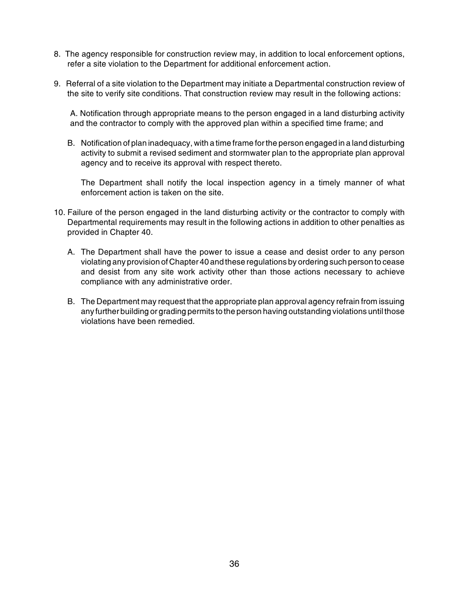- 8. The agency responsible for construction review may, in addition to local enforcement options, refer a site violation to the Department for additional enforcement action.
- 9. Referral of a site violation to the Department may initiate a Departmental construction review of the site to verify site conditions. That construction review may result in the following actions:

A. Notification through appropriate means to the person engaged in a land disturbing activity and the contractor to comply with the approved plan within a specified time frame; and

B. Notification of plan inadequacy, with a time frame for the person engaged in a land disturbing activity to submit a revised sediment and stormwater plan to the appropriate plan approval agency and to receive its approval with respect thereto.

The Department shall notify the local inspection agency in a timely manner of what enforcement action is taken on the site.

- 10. Failure of the person engaged in the land disturbing activity or the contractor to comply with Departmental requirements may result in the following actions in addition to other penalties as provided in Chapter 40.
	- A. The Department shall have the power to issue a cease and desist order to any person violating any provision of Chapter 40 and these regulations by ordering such person to cease and desist from any site work activity other than those actions necessary to achieve compliance with any administrative order.
	- B. The Department may request that the appropriate plan approval agency refrain from issuing any further building or grading permits to the person having outstanding violations until those violations have been remedied.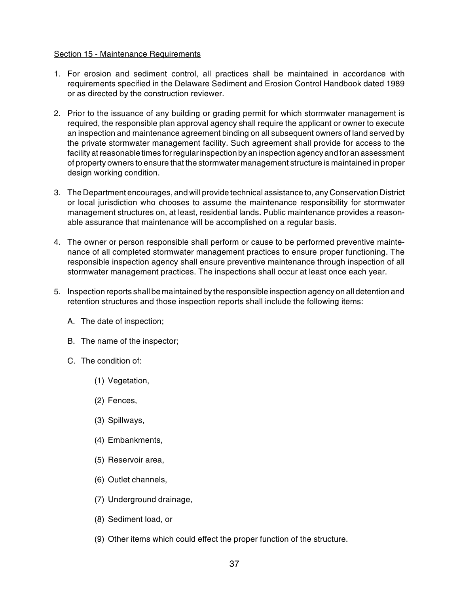#### Section 15 - Maintenance Requirements

- 1. For erosion and sediment control, all practices shall be maintained in accordance with requirements specified in the Delaware Sediment and Erosion Control Handbook dated 1989 or as directed by the construction reviewer.
- 2. Prior to the issuance of any building or grading permit for which stormwater management is required, the responsible plan approval agency shall require the applicant or owner to execute an inspection and maintenance agreement binding on all subsequent owners of land served by the private stormwater management facility. Such agreement shall provide for access to the facility at reasonable times for regular inspection by an inspection agency and for an assessment of property owners to ensure that the stormwater management structure is maintained in proper design working condition.
- 3. The Department encourages, and will provide technical assistance to, any Conservation District or local jurisdiction who chooses to assume the maintenance responsibility for stormwater management structures on, at least, residential lands. Public maintenance provides a reasonable assurance that maintenance will be accomplished on a regular basis.
- 4. The owner or person responsible shall perform or cause to be performed preventive maintenance of all completed stormwater management practices to ensure proper functioning. The responsible inspection agency shall ensure preventive maintenance through inspection of all stormwater management practices. The inspections shall occur at least once each year.
- 5. Inspection reports shall be maintained by the responsible inspection agency on all detention and retention structures and those inspection reports shall include the following items:
	- A. The date of inspection;
	- B. The name of the inspector;
	- C. The condition of:
		- (1) Vegetation,
		- (2) Fences,
		- (3) Spillways,
		- (4) Embankments,
		- (5) Reservoir area,
		- (6) Outlet channels,
		- (7) Underground drainage,
		- (8) Sediment load, or
		- (9) Other items which could effect the proper function of the structure.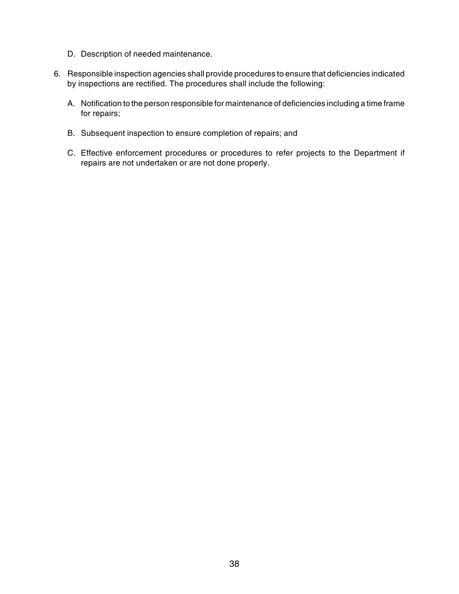- D. Description of needed maintenance.
- 6. Responsible inspection agencies shall provide procedures to ensure that deficiencies indicated by inspections are rectified. The procedures shall include the following:
	- A. Notification to the person responsible for maintenance of deficiencies including a time frame for repairs;
	- B. Subsequent inspection to ensure completion of repairs; and
	- C. Effective enforcement procedures or procedures to refer projects to the Department if repairs are not undertaken or are not done properly.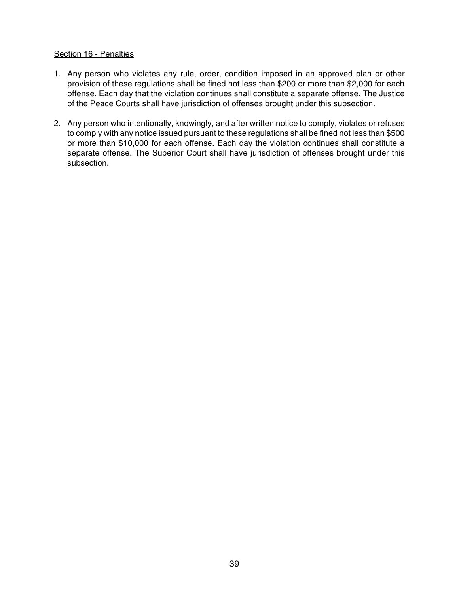#### Section 16 - Penalties

- 1. Any person who violates any rule, order, condition imposed in an approved plan or other provision of these regulations shall be fined not less than \$200 or more than \$2,000 for each offense. Each day that the violation continues shall constitute a separate offense. The Justice of the Peace Courts shall have jurisdiction of offenses brought under this subsection.
- 2. Any person who intentionally, knowingly, and after written notice to comply, violates or refuses to comply with any notice issued pursuant to these regulations shall be fined not less than \$500 or more than \$10,000 for each offense. Each day the violation continues shall constitute a separate offense. The Superior Court shall have jurisdiction of offenses brought under this subsection.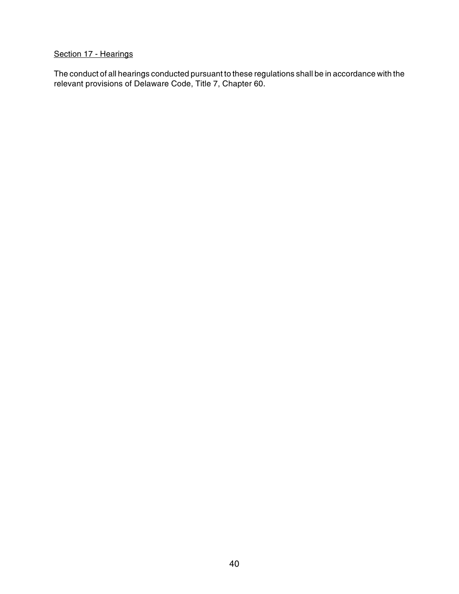## Section 17 - Hearings

The conduct of all hearings conducted pursuant to these regulations shall be in accordance with the relevant provisions of Delaware Code, Title 7, Chapter 60.